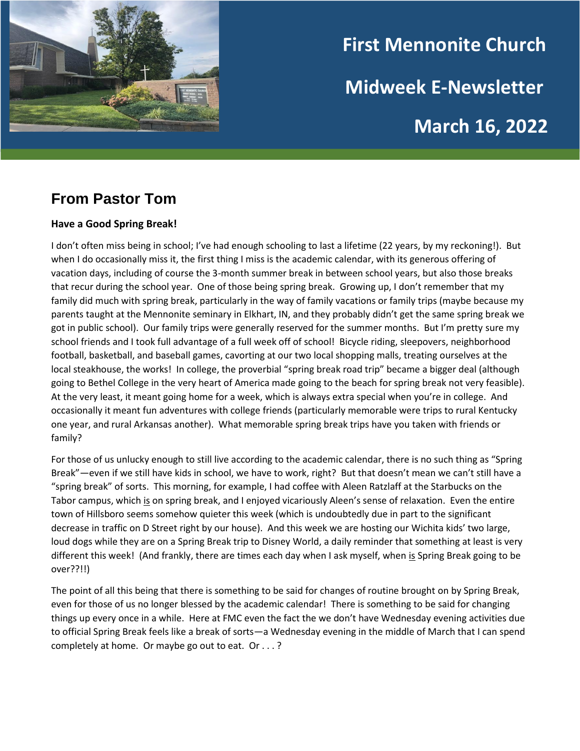

# **First Mennonite Church Midweek E-Newsletter March 16, 2022**

## **From Pastor Tom**

#### **Have a Good Spring Break!**

I don't often miss being in school; I've had enough schooling to last a lifetime (22 years, by my reckoning!). But when I do occasionally miss it, the first thing I miss is the academic calendar, with its generous offering of vacation days, including of course the 3-month summer break in between school years, but also those breaks that recur during the school year. One of those being spring break. Growing up, I don't remember that my family did much with spring break, particularly in the way of family vacations or family trips (maybe because my parents taught at the Mennonite seminary in Elkhart, IN, and they probably didn't get the same spring break we got in public school). Our family trips were generally reserved for the summer months. But I'm pretty sure my school friends and I took full advantage of a full week off of school! Bicycle riding, sleepovers, neighborhood football, basketball, and baseball games, cavorting at our two local shopping malls, treating ourselves at the local steakhouse, the works! In college, the proverbial "spring break road trip" became a bigger deal (although going to Bethel College in the very heart of America made going to the beach for spring break not very feasible). At the very least, it meant going home for a week, which is always extra special when you're in college. And occasionally it meant fun adventures with college friends (particularly memorable were trips to rural Kentucky one year, and rural Arkansas another). What memorable spring break trips have you taken with friends or family?

For those of us unlucky enough to still live according to the academic calendar, there is no such thing as "Spring Break"—even if we still have kids in school, we have to work, right? But that doesn't mean we can't still have a "spring break" of sorts. This morning, for example, I had coffee with Aleen Ratzlaff at the Starbucks on the Tabor campus, which is on spring break, and I enjoyed vicariously Aleen's sense of relaxation. Even the entire town of Hillsboro seems somehow quieter this week (which is undoubtedly due in part to the significant decrease in traffic on D Street right by our house). And this week we are hosting our Wichita kids' two large, loud dogs while they are on a Spring Break trip to Disney World, a daily reminder that something at least is very different this week! (And frankly, there are times each day when I ask myself, when is Spring Break going to be over??!!)

The point of all this being that there is something to be said for changes of routine brought on by Spring Break, even for those of us no longer blessed by the academic calendar! There is something to be said for changing things up every once in a while. Here at FMC even the fact the we don't have Wednesday evening activities due to official Spring Break feels like a break of sorts—a Wednesday evening in the middle of March that I can spend completely at home. Or maybe go out to eat. Or . . . ?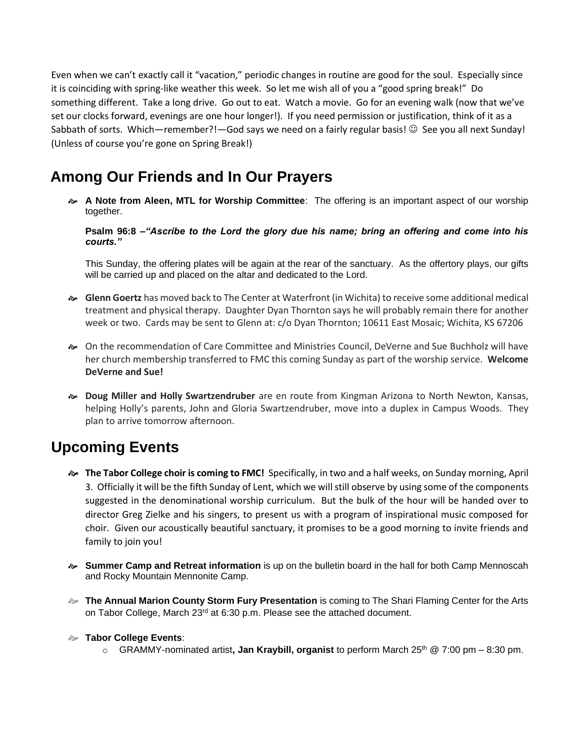Even when we can't exactly call it "vacation," periodic changes in routine are good for the soul. Especially since it is coinciding with spring-like weather this week. So let me wish all of you a "good spring break!" Do something different. Take a long drive. Go out to eat. Watch a movie. Go for an evening walk (now that we've set our clocks forward, evenings are one hour longer!). If you need permission or justification, think of it as a Sabbath of sorts. Which—remember?!—God says we need on a fairly regular basis! © See you all next Sunday! (Unless of course you're gone on Spring Break!)

### **Among Our Friends and In Our Prayers**

 **A Note from Aleen, MTL for Worship Committee**: The offering is an important aspect of our worship together.

**Psalm 96:8 –***"Ascribe to the Lord the glory due his name; bring an offering and come into his courts."*

This Sunday, the offering plates will be again at the rear of the sanctuary. As the offertory plays, our gifts will be carried up and placed on the altar and dedicated to the Lord.

- **Glenn Goertz** has moved back to The Center at Waterfront (in Wichita) to receive some additional medical treatment and physical therapy. Daughter Dyan Thornton says he will probably remain there for another week or two. Cards may be sent to Glenn at: c/o Dyan Thornton; 10611 East Mosaic; Wichita, KS 67206
- On the recommendation of Care Committee and Ministries Council, DeVerne and Sue Buchholz will have her church membership transferred to FMC this coming Sunday as part of the worship service. **Welcome DeVerne and Sue!**
- **Doug Miller and Holly Swartzendruber** are en route from Kingman Arizona to North Newton, Kansas, helping Holly's parents, John and Gloria Swartzendruber, move into a duplex in Campus Woods. They plan to arrive tomorrow afternoon.

#### **Upcoming Events**

- **The Tabor College choir is coming to FMC!** Specifically, in two and a half weeks, on Sunday morning, April 3. Officially it will be the fifth Sunday of Lent, which we will still observe by using some of the components suggested in the denominational worship curriculum. But the bulk of the hour will be handed over to director Greg Zielke and his singers, to present us with a program of inspirational music composed for choir. Given our acoustically beautiful sanctuary, it promises to be a good morning to invite friends and family to join you!
- **Summer Camp and Retreat information** is up on the bulletin board in the hall for both Camp Mennoscah and Rocky Mountain Mennonite Camp.
- **The Annual Marion County Storm Fury Presentation** is coming to The Shari Flaming Center for the Arts on Tabor College, March  $23<sup>rd</sup>$  at 6:30 p.m. Please see the attached document.
- **Tabor College Events**:
	- o GRAMMY-nominated artist**, Jan Kraybill, organist** to perform March 25th @ 7:00 pm 8:30 pm.